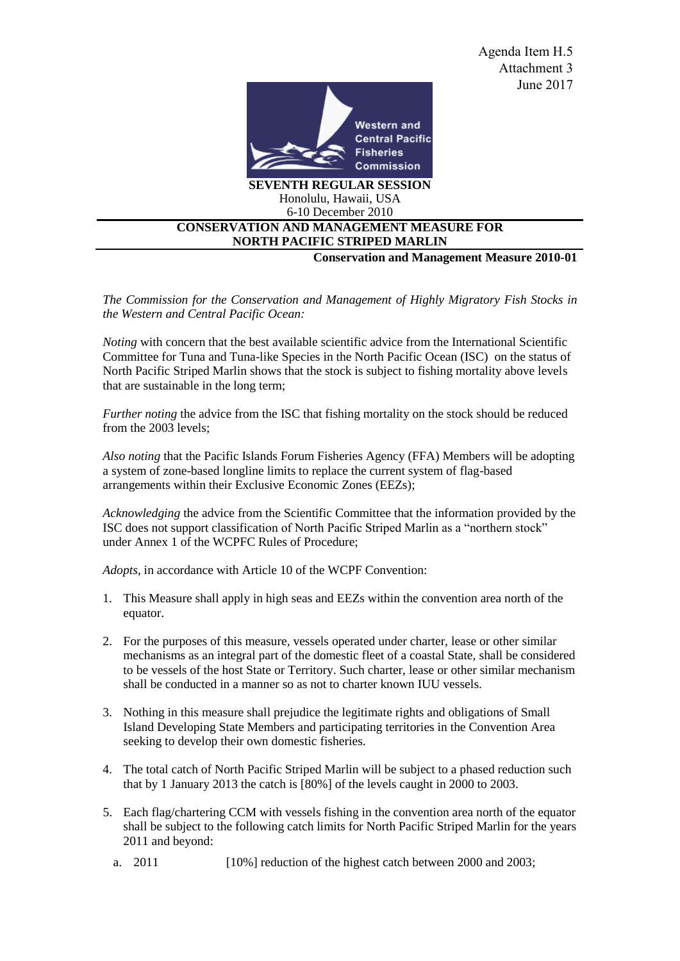

## 6-10 December 2010 **CONSERVATION AND MANAGEMENT MEASURE FOR NORTH PACIFIC STRIPED MARLIN**

**Conservation and Management Measure 2010-01** 

*The Commission for the Conservation and Management of Highly Migratory Fish Stocks in the Western and Central Pacific Ocean:* 

*Noting* with concern that the best available scientific advice from the International Scientific Committee for Tuna and Tuna-like Species in the North Pacific Ocean (ISC) on the status of North Pacific Striped Marlin shows that the stock is subject to fishing mortality above levels that are sustainable in the long term;

*Further noting* the advice from the ISC that fishing mortality on the stock should be reduced from the 2003 levels;

*Also noting* that the Pacific Islands Forum Fisheries Agency (FFA) Members will be adopting a system of zone-based longline limits to replace the current system of flag-based arrangements within their Exclusive Economic Zones (EEZs);

*Acknowledging* the advice from the Scientific Committee that the information provided by the ISC does not support classification of North Pacific Striped Marlin as a "northern stock" under Annex 1 of the WCPFC Rules of Procedure;

*Adopts*, in accordance with Article 10 of the WCPF Convention:

- 1. This Measure shall apply in high seas and EEZs within the convention area north of the equator.
- 2. For the purposes of this measure, vessels operated under charter, lease or other similar mechanisms as an integral part of the domestic fleet of a coastal State, shall be considered to be vessels of the host State or Territory. Such charter, lease or other similar mechanism shall be conducted in a manner so as not to charter known IUU vessels.
- 3. Nothing in this measure shall prejudice the legitimate rights and obligations of Small Island Developing State Members and participating territories in the Convention Area seeking to develop their own domestic fisheries.
- 4. The total catch of North Pacific Striped Marlin will be subject to a phased reduction such that by 1 January 2013 the catch is [80%] of the levels caught in 2000 to 2003.
- 5. Each flag/chartering CCM with vessels fishing in the convention area north of the equator shall be subject to the following catch limits for North Pacific Striped Marlin for the years 2011 and beyond:
	- a. 2011 [10%] reduction of the highest catch between 2000 and 2003;